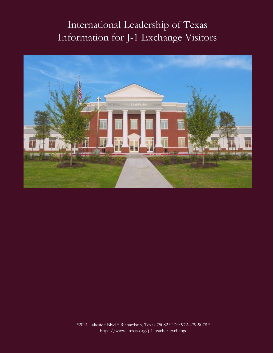# International Leadership of Texas Information for J-1 Exchange Visitors



\*2021 Lakeside Blvd \* Richardson, Texas 75082 \* Tel: 972-479-9078 \* https://www.iltexas.org/j-1-teacher-exchange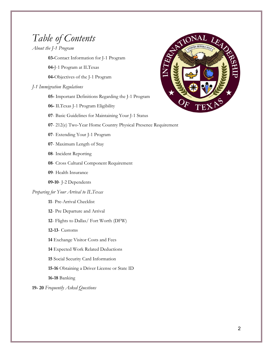## *Table of Contents*

*About the J-1 Program*

**03-**Contact Information for J-1 Program

**04-**J-1 Program at ILTexas

**04-**Objectives of the J-1 Program

### *J-1 Immigration Regulations*

**05-** Important Definitions Regarding the J-1 Program

- **06-** ILTexas J-1 Program Eligibility
- **07** Basic Guidelines for Maintaining Your J-1 Status



- **07** 212(e) Two-Year Home Country Physical Presence Requirement
- **07** Extending Your J-1 Program
- **07** Maximum Length of Stay
- **08** Incident Reporting
- **08** Cross Cultural Component Requirement
- **09** Health Insurance
- **09-10** J-2 Dependents

### *Preparing for Your Arrival to ILTexas*

- **11** Pre-Arrival Checklist
- **12** Pre Departure and Arrival
- **12** Flights to Dallas/ Fort Worth (DFW)
- **12-13** Customs
- **14** Exchange Visitor Costs and Fees
- **14** Expected Work Related Deductions
- **15** Social Security Card Information
- **15-16** Obtaining a Driver License or State ID
- **16-18** Banking

**19- 20** *Frequently Asked Questions*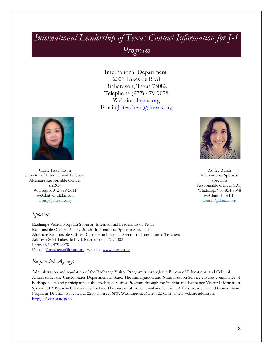## *International Leadership of Texas Contact Information for J-1 Program*

International Department 2021 Lakeside Blvd Richardson, Texas 75082 Telephone (972)-479-9078 Website: [iltexas.org](https://www.iltexas.org/) Email: *[1teachers@iltexas.org*]



Carrie Hutchinson Director of International Teachers Alternate Responsible Officer (ARO) Whatsapp: 972-999-5611 WeChat: chutchinson [hfung@iltexas.org](mailto:hfung@iltexas.org)

Ashley Burch International Sponsor Specialist Responsible Officer (RO) Whatsapp: 956-854-9348 WeChat: aburch15 [aburch@iltexas.org](mailto:aburch@iltexas.org)

### *Sponsor:*

Exchange Visitor Program Sponsor: International Leadership of Texas Responsible Officer: Ashley Burch- International Sponsor Specialist Alternate Responsible Officer: Carrie Hutchinson- Director of International Teachers Address: 2021 Lakeside Blvd, Richardson, TX 75082 Phone: 972-479-9078 E-mail[: j1teachers@iltexas.org](mailto:j1teachers@iltexas.org) Website: [www.iltexas.org](http://www.iltexas.org/)

### *Responsible Agency*:

Administration and regulation of the Exchange Visitor Program is through the Bureau of Educational and Cultural Affairs under the United States Department of State. The Immigration and Naturalization Service ensures compliance of both sponsors and participants in the Exchange Visitor Program through the Student and Exchange Visitor Information System (SEVIS), which is described below. The Bureau of Educational and Cultural Affairs, Academic and Government Programs Division is located at 2200 C Street NW, Washington, DC 20522-0582. Their website address is <http://j1visa.state.gov/>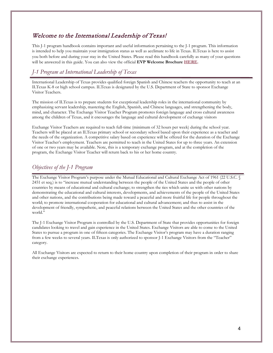### Welcome to the International Leadership of Texas!

This J-1 program handbook contains important and useful information pertaining to the J-1 program. This information is intended to help you maintain your immigration status as well as acclimate to life in Texas. ILTexas is here to assist you both before and during your stay in the United States. Please read this handbook carefully as many of your questions will be answered in this guide. You can also view the official **EVP Welcome Brochure [HERE.](https://j1visa.state.gov/wp-content/uploads/2015/03/Brochure-The-Exchange-Visitor-Program.pdf)**

### *J-1 Program at International Leadership of Texas*

International Leadership of Texas provides qualified foreign Spanish and Chinese teachers the opportunity to teach at an ILTexas K-8 or high school campus. ILTexas is designated by the U.S. Department of State to sponsor Exchange Visitor Teachers.

The mission of ILTexas is to prepare students for exceptional leadership roles in the international community by emphasizing servant leadership, mastering the English, Spanish, and Chinese languages, and strengthening the body, mind, and character. The Exchange Visitor Teacher Program promotes foreign language and cross cultural awareness among the children of Texas, and it encourages the language and cultural development of exchange visitors

Exchange Visitor Teachers are required to teach full-time (minimum of 32 hours per week) during the school year. Teachers will be placed at an ILTexas primary school or secondary school based upon their experience as a teacher and the needs of the organization. A competitive salary based on experience will be offered for the duration of the Exchange Visitor Teacher's employment. Teachers are permitted to teach in the United States for up to three years. An extension of one or two years may be available. Note, this is a temporary exchange program, and at the completion of the program, the Exchange Visitor Teacher will return back to his or her home country.

### *Objectives of the J-1 Program*

The Exchange Visitor Program's purpose under the Mutual Educational and Cultural Exchange Act of 1961 (22 U.S.C. § 2451 et seq.) is to "increase mutual understanding between the people of the United States and the people of other countries by means of educational and cultural exchange; to strengthen the ties which unite us with other nations by demonstrating the educational and cultural interests, developments, and achievements of the people of the United States and other nations, and the contributions being made toward a peaceful and more fruitful life for people throughout the world; to promote international cooperation for educational and cultural advancement; and thus to assist in the development of friendly, sympathetic, and peaceful relations between the United States and the other countries of the world."

The J-1 Exchange Visitor Program is controlled by the U.S. Department of State that provides opportunities for foreign candidates looking to travel and gain experience in the United States. Exchange Visitors are able to come to the United States to pursue a program in one of fifteen categories. The Exchange Visitor's program may have a duration ranging from a few weeks to several years. ILTexas is only authorized to sponsor J-1 Exchange Visitors from the "Teacher" category.

All Exchange Visitors are expected to return to their home country upon completion of their program in order to share their exchange experiences.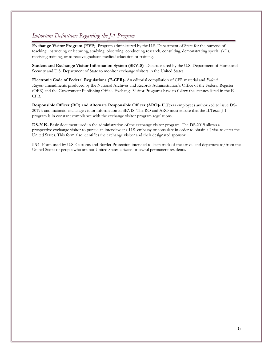### *Important Definitions Regarding the J-1 Program*

**Exchange Visitor Program (EVP**)- Program administered by the U.S. Department of State for the purpose of teaching, instructing or lecturing, studying, observing, conducting research, consulting, demonstrating special skills, receiving training, or to receive graduate medical education or training.

**Student and Exchange Visitor Information System (SEVIS)**- Database used by the U.S. Department of Homeland Security and U.S. Department of State to monitor exchange visitors in the United States.

**Electronic Code of Federal Regulations (E-CFR)**- An editorial compilation of CFR material and *Federal Register* amendments produced by the National Archives and Records Administration's Office of the Federal Register (OFR) and the Government Publishing Office. Exchange Visitor Programs have to follow the statutes listed in the E-CFR.

**Responsible Officer (RO) and Alternate Responsible Officer (ARO)**- ILTexas employees authorized to issue DS-2019's and maintain exchange visitor information in SEVIS. The RO and ARO must ensure that the ILTexas J-1 program is in constant compliance with the exchange visitor program regulations.

**DS-2019**- Basic document used in the administration of the exchange visitor program. The DS-2019 allows a prospective exchange visitor to pursue an interview at a [U.S. embassy or consulate](http://www.usembassy.gov/) in order to obtain a J visa to enter the United States. This form also identifies the exchange visitor and their designated sponsor.

**I-94**- Form used by U.S. Customs and Border Protection intended to keep track of the arrival and departure to/from the United States of people who are not United States citizens or lawful permanent residents.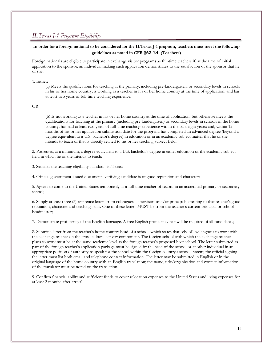### *ILTexas J-1 Program Eligibility*

### **In order for a foreign national to be considered for the ILTexas J-1 program, teachers must meet the following guidelines as noted in CFR** §. **(Teachers)**

Foreign nationals are eligible to participate in exchange visitor programs as full-time teachers if, at the time of initial application to the sponsor, an individual making such application demonstrates to the satisfaction of the sponsor that he or she:

#### 1. Either:

(a) Meets the qualifications for teaching at the primary, including pre-kindergarten, or secondary levels in schools in his or her home country; is working as a teacher in his or her home country at the time of application; and has at least two years of full-time teaching experience;

#### OR

(b) Is not working as a teacher in his or her home country at the time of application, but otherwise meets the qualifications for teaching at the primary (including pre-kindergarten) or secondary levels in schools in the home country; has had at least two years of full-time teaching experience within the past eight years; and, within 12 months of his or her application submission date for the program, has completed an advanced degree (beyond a degree equivalent to a U.S. bachelor's degree) in education or in an academic subject matter that he or she intends to teach or that is directly related to his or her teaching subject field;

2. Possesses, at a minimum, a degree equivalent to a U.S. bachelor's degree in either education or the academic subject field in which he or she intends to teach;

3. Satisfies the teaching eligibility standards in Texas;

4. Official government-issued documents verifying candidate is of good reputation and character;

5. Agrees to come to the United States temporarily as a full-time teacher of record in an accredited primary or secondary school;

6. Supply at least three (3) reference letters from colleagues, supervisors and/or principals attesting to that teacher's good reputation, character and teaching skills. One of these letters MUST be from the teacher's current principal or school headmaster;

7. Demonstrate proficiency of the English language. A free English proficiency test will be required of all candidates.;

8. Submit a letter from the teacher's home country head of a school, which states that school's willingness to work with the exchange teacher on the cross-cultural activity component. The foreign school with which the exchange teacher plans to work must be at the same academic level as the foreign teacher's proposed host school. The letter submitted as part of the foreign teacher's application package must be signed by the head of the school or another individual in an appropriate position of authority to speak for the school within the foreign country's school system; the official signing the letter must list both email and telephone contact information. The letter may be submitted in English or in the original language of the home country with an English translation; the name, title/organization and contact information of the translator must be noted on the translation.

9. Confirm financial ability and sufficient funds to cover relocation expenses to the United States and living expenses for at least 2 months after arrival.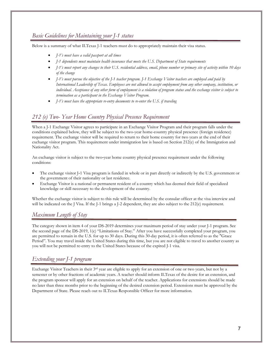### *Basic Guidelines for Maintaining your J-1 status*

Below is a summary of what ILTexas J-1 teachers must do to appropriately maintain their visa status.

- *J-1's must have a valid passport at all times*
- *J-1 dependents must maintain health insurance that meets the U.S. Department of State requirements*
- *J-1's must report any changes to their U.S. residential address, email, phone number or primary site of activity within 10 days of the change*
- *J-1's must pursue the objective of the J-1 teacher program. J-1 Exchange Visitor teachers are employed and paid by International Leadership of Texas. Employees are not allowed to accept employment from any other company, institution, or individual. Acceptance of any other form of employment is a violation of program status and the exchange visitor is subject to termination as a participant in the Exchange Visitor Program.*
- *J-1's must have the appropriate re-entry documents to re-enter the U.S. if traveling*

### *212 (e) Two- Year Home Country Physical Presence Requirement*

When a J-1 Exchange Visitor agrees to participate in an Exchange Visitor Program and their program falls under the conditions explained below, they will be subject to the two-year home-country physical presence (foreign residence) requirement. The exchange visitor will be required to return to their home country for two years at the end of their exchange visitor program. This requirement under immigration law is based on Section 212(e) of the Immigration and Nationality Act.

An exchange visitor is subject to the two-year home country physical presence requirement under the following conditions:

- The exchange visitor J–1 Visa program is funded in whole or in part directly or indirectly by the U.S. government or the government of their nationality or last residence.
- Exchange Visitor is a national or permanent resident of a country which has deemed their field of specialized knowledge or skill necessary to the development of the country.

Whether the exchange visitor is subject to this rule will be determined by the consular officer at the visa interview and will be indicated on the J Visa. If the J-1 brings a J-2 dependent, they are also subject to the 212(e) requirement.

### *Maximum Length of Stay*

The category shown in item 4 of your DS-2019 determines your maximum period of stay under your J-1 program. See the second page of the DS-2019, 1(c) "Limitations of Stay." After you have successfully completed your program, you are permitted to remain in the U.S. for up to 30 days. During this 30-day period, it is often referred to as the "Grace Period". You may travel inside the United States during this time, but you are not eligible to travel to another country as you will not be permitted re-entry to the United States because of the expired J-1 visa.

### *Extending your J-1 program*

Exchange Visitor Teachers in their 3<sup>rd</sup> year are eligible to apply for an extension of one or two years, but not by a semester or by other fractions of academic years. A teacher should inform ILTexas of the desire for an extension, and the program sponsor will apply for an extension on behalf of the teacher. Applications for extensions should be made no later than three months prior to the beginning of the desired extension period. Extensions must be approved by the Department of State. Please reach out to ILTexas Responsible Officer for more information.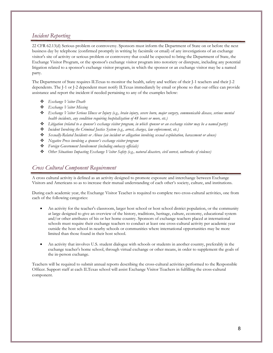### *Incident Reporting*

22 CFR 62.13(d) Serious problem or controversy. Sponsors must inform the Department of State on or before the next business day by telephone (confirmed promptly in writing by facsimile or email) of any investigations of an exchange visitor's site of activity or serious problem or controversy that could be expected to bring the Department of State, the Exchange Visitor Program, or the sponsor's exchange visitor program into notoriety or disrepute, including any potential litigation related to a sponsor's exchange visitor program, in which the sponsor or an exchange visitor may be a named party.

The Department of State requires ILTexas to monitor the health, safety and welfare of their J-1 teachers and their J-2 dependents. The J-1 or J-2 dependent must notify ILTexas immediately by email or phone so that our office can provide assistance and report the incident if needed pertaining to any of the examples below:

- *Exchange Visitor Death*
- *Exchange Visitor Missing*
- *Exchange Visitor Serious Illness or Injury (e.g., brain injury, severe burn, major surgery, communicable disease, serious mental health incidents, any condition requiring hospitalization of 48 hours or more, etc.)*
- *Litigation (related to a sponsor's exchange visitor program, in which sponsor or an exchange visitor may be a named party)*
- *Incident Involving the Criminal Justice System (e.g., arrest, charges, law enforcement, etc.)*
- *Sexually-Related Incidents or Abuse (an incident or allegation involving sexual exploitation, harassment or abuse)*
- *Negative Press involving a sponsor's exchange visitor program*
- *Foreign Government Involvement (including embassy officials)*
- *Other Situations Impacting Exchange Visitor Safety (e.g., natural disasters, civil unrest, outbreaks of violence)*

### *Cross Cultural Component Requirement*

A cross cultural activity is defined as an activity designed to promote exposure and interchange between Exchange Visitors and Americans so as to increase their mutual understanding of each other's society, culture, and institutions.

During each academic year, the Exchange Visitor Teacher is required to complete two cross-cultural activities, one from each of the following categories:

- An activity for the teacher's classroom, larger host school or host school district population, or the community at large designed to give an overview of the history, traditions, heritage, culture, economy, educational system and/or other attributes of his or her home country. Sponsors of exchange teachers placed at international schools must require their exchange teachers to conduct at least one cross-cultural activity per academic year outside the host school in nearby schools or communities where international opportunities may be more limited than those found in their host school.
- An activity that involves U.S. student dialogue with schools or students in another country, preferably in the exchange teacher's home school, through virtual exchange or other means, in order to supplement the goals of the in-person exchange.

Teachers will be required to submit annual reports describing the cross-cultural activities performed to the Responsible Officer. Support staff at each ILTexas school will assist Exchange Visitor Teachers in fulfilling the cross-cultural component.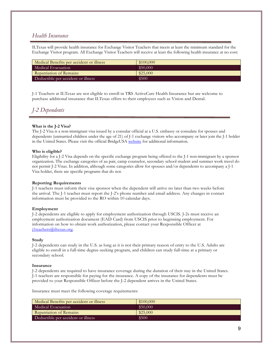### *Health Insurance*

ILTexas will provide health insurance for Exchange Visitor Teachers that meets at least the minimum standard for the Exchange Visitor program. All Exchange Visitor Teachers will receive at least the following health insurance at no cost:

| Medical Benefits per accident or illness | \$100,000 |
|------------------------------------------|-----------|
| Medical Evacuation                       | \$50,000  |
| Repatriation of Remains                  | \$25,000  |
| Deductible per accident or illness       | \$500     |

J-1 Teachers at ILTexas are not eligible to enroll in TRS ActiveCare Health Insurance but are welcome to purchase additional insurance that ILTexas offers to their employees such as Vision and Dental.

### *J-2 Dependents*

### **What is the J-2 Visa?**

The J-2 Visa is a non-immigrant visa issued by a consular official at a U.S. embassy or consulate for spouses and dependents (unmarried children under the age of 21) of J-1 exchange visitors who accompany or later join the J-1 holder in the United States. Please visit the official BridgeUSA [website](https://j1visa.state.gov/basics/j2-visa/) for additional information.

### **Who is eligible?**

Eligibility for a J-2 Visa depends on the specific exchange program being offered to the J-1 non-immigrant by a sponsor organization. The exchange categories of au pair, camp counselor, secondary school student and summer work travel do not permit J-2 Visas. In addition, although some categories allow for spouses and/or dependents to accompany a J-1 Visa holder, there are specific programs that do not.

### **Reporting Requirements**

J-1 teachers must inform their visa sponsor when the dependent will arrive no later than two weeks before the arrival. The J-1 teacher must report the J-2's phone number and email address. Any changes in contact information must be provided to the RO within 10 calendar days.

### **Employment**

J-2 dependents are eligible to apply for employment authorization through USCIS. J-2s must receive an employment authorization document (EAD Card) from USCIS prior to beginning employment. For information on how to obtain work authorization, please contact your Responsible Officer at [j1teachers@iltexas.org.](mailto:j1teachers@iltexas.org)

#### **Study**

J-2 dependents can study in the U.S. as long as it is not their primary reason of entry to the U.S. Adults are eligible to enroll in a full-time degree-seeking program, and children can study full-time at a primary or secondary school.

#### **Insurance**

J-2 dependents are required to have insurance coverage during the duration of their stay in the United States. J-1 teachers are responsible for paying for the insurance. A copy of the insurance for dependents must be provided to your Responsible Officer before the J-2 dependent arrives in the United States.

Insurance must meet the following coverage requirements:

| Medical Benefits per accident or illness | \$100,000 |
|------------------------------------------|-----------|
| Medical Evacuation                       | \$50,000  |
| Repatriation of Remains                  | \$25,000  |
| Deductible per accident or illness       | \$500     |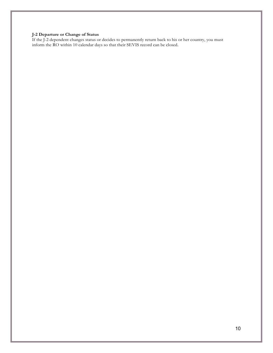#### **J-2 Departure or Change of Status**

If the J-2 dependent changes status or decides to permanently return back to his or her country, you must inform the RO within 10 calendar days so that their SEVIS record can be closed.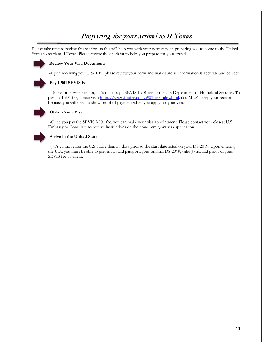## Preparing for your arrival to ILTexas

Please take time to review this section, as this will help you with your next steps in preparing you to come to the United States to teach at ILTexas. Please review the checklist to help you prepare for your arrival.



### **Review Your Visa Documents**

-Upon receiving your DS-2019, please review your form and make sure all information is accurate and correct

### **Pay I-901 SEVIS Fee**

-Unless otherwise exempt, J-1's must pay a SEVIS I-901 fee to the U.S Department of Homeland Security. To pay the I-901 fee, please visit: [https://www.fmjfee.com/i901fee/index.html.Y](https://www.fmjfee.com/i901fee/index.html)ou MUST keep your receipt because you will need to show proof of payment when you apply for your visa.



#### **Obtain Your Visa**

-Once you pay the SEVIS I-901 fee, you can make your visa appointment. Please contact your closest U.S. Embassy or Consulate to receive instructions on the non- immigrant visa application.



### **Arrive in the United States**

-J-1's cannot enter the U.S. more than 30 days prior to the start date listed on your DS-2019. Upon entering the U.S., you must be able to present a valid passport, your original DS-2019, valid J visa and proof of your SEVIS fee payment.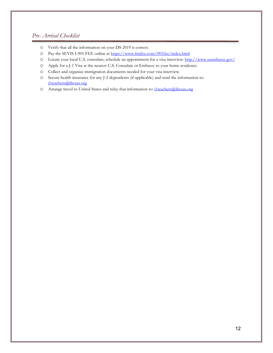### *Pre- Arrival Checklist*

- o Verify that all the information on your DS-2019 is correct.
- o Pay the SEVIS I-901 FEE online a[t https://www.fmjfee.com/i901fee/index.html](https://www.fmjfee.com/i901fee/index.html)
- o Locate your local U.S. consulate; schedule an appointment for a visa interview[: http://www.usembassy.gov/](http://www.usembassy.gov/)
- o Apply for a J-1 Visa at the nearest U.S. Consulate or Embassy to your home residence.
- o Collect and organize immigration documents needed for your visa interview.
- o Secure health insurance for any J-2 dependents (if applicable) and send the information to: [j1teachers@iltexas.org](mailto:j1teachers@iltexas.org)
- o Arrange travel to United States and relay that information to: [j1teachers@iltexas.org](mailto:j1teachers@iltexas.org)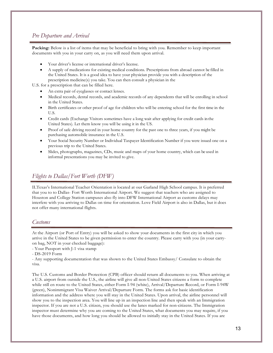### *Pre Departure and Arrival*

**Packing:** Below is a list of items that may be beneficial to bring with you. Remember to keep important documents with you in your carry on, as you will need them upon arrival.

- Your driver's license or international driver's license.
- A supply of medications for existing medical conditions. Prescriptions from abroad cannot be filled in the United States. It is a good idea to have your physician provide you with a description of the prescription medicine(s) you take. You can then consult a physician in the

U.S. for a prescription that can be filled here.

- An extra pair of eyeglasses or contact lenses.
- Medical records, dental records, and academic records of any dependents that will be enrolling in school in the United States.
- Birth certificates or other proof of age for children who will be entering school for the first time in the U.S.
- Credit cards (Exchange Visitors sometimes have a long wait after applying for credit cards in the United States). Let them know you will be using it in the US.
- Proof of safe driving record in your home country for the past one to three years, if you might be purchasing automobile insurance in the U.S.
- Your Social Security Number or Individual Taxpayer Identification Number if you were issued one on a previous trip to the United States.
- Slides, photographs, magazines, CDs, music and maps of your home country, which can be used in informal presentations you may be invited to give.

### *Flights to Dallas/Fort Worth (DFW)*

ILTexas's International Teacher Orientation is located at our Garland High School campus. It is preferred that you to to Dallas- Fort Worth International Airport. We suggest that teachers who are assigned to Houston and College Station campuses also fly into DFW International Airport as customs delays may interfere with you arriving to Dallas on time for orientation. Love Field Airport is also in Dallas, but it does not offer many international flights.

### *Customs*

At the Airport (or Port of Entry) you will be asked to show your documents in the first city in which you arrive in the United States to be given permission to enter the country. Please carry with you (in your carryon bag, NOT in your checked baggage):

- Your Passport with J-1 visa stamp

- Any supporting documentation that was shown to the United States Embassy/ Consulate to obtain the visa.

The U.S. Customs and Border Protection (CPB) officer should return all documents to you. When arriving at a U.S. airport from outside the U.S., the airline will give all non-United States citizens a form to complete while still en route to the United States, either Form I-94 (white), Arrival/Departure Record, or Form I-94W (green), Nonimmigrant Visa Waiver Arrival/Departure Form. The forms ask for basic identification information and the address where you will stay in the United States. Upon arrival, the airline personnel will show you to the inspection area. You will line up in an inspection line and then speak with an Immigration inspector. If you are not a U.S. citizen, you should use the lanes marked for non-citizens. The Immigration inspector must determine why you are coming to the United States, what documents you may require, if you have those documents, and how long you should be allowed to initially stay in the United States. If you are

<sup>-</sup> DS-2019 Form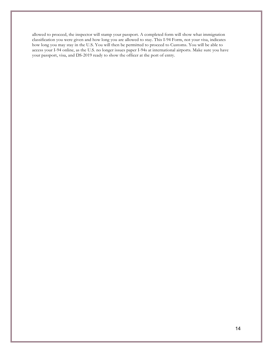allowed to proceed, the inspector will stamp your passport. A completed form will show what immigration classification you were given and how long you are allowed to stay. This I-94 Form, not your visa, indicates how long you may stay in the U.S. You will then be permitted to proceed to Customs. You will be able to access your I-94 online, as the U.S. no longer issues paper I-94s at international airports. Make sure you have your passport, visa, and DS-2019 ready to show the officer at the port of entry.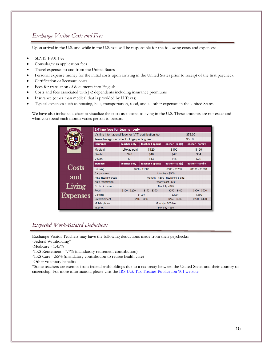### *Exchange Visitor Costs and Fees*

Upon arrival in the U.S. and while in the U.S. you will be responsible for the following costs and expenses:

- SEVIS I-901 Fee
- Consular/visa application fees
- Travel expenses to and from the United States
- Personal expense money for the initial costs upon arriving in the United States prior to receipt of the first paycheck
- Certification or licensure costs
- Fees for translation of documents into English
- Costs and fees associated with J-2 dependents including insurance premiums
- Insurance (other than medical that is provided by ILTexas)
- Typical expenses such as housing, bills, transportation, food, and all other expenses in the United States

We have also included a chart to visualize the costs associated to living in the U.S. These amounts are not exact and what you spend each month varies person to person.

|                    | 1-Time fees for teacher only                           |                                       |                         |                  |                         |  |
|--------------------|--------------------------------------------------------|---------------------------------------|-------------------------|------------------|-------------------------|--|
|                    | Visiting International Teacher (VIT) certification fee |                                       |                         |                  | \$78.00                 |  |
|                    | Texas background check / fingerprinting fee            |                                       |                         |                  | \$50.00                 |  |
|                    | <b>Insurance</b>                                       | <b>Teacher only</b>                   | <b>Teacher + spouse</b> | Teacher + kid(s) | <b>Teacher + family</b> |  |
|                    | Medical                                                | <b>ILTexas paid</b>                   | \$120                   | \$100            | \$150                   |  |
|                    | Dental                                                 | \$20                                  | \$40                    | \$42             | \$64                    |  |
|                    | <b>Vision</b>                                          | \$8                                   | \$13                    | \$14             | \$20                    |  |
|                    | <b>Expense</b>                                         | <b>Teacher only</b>                   | <b>Teacher + spouse</b> | Teacher + kid(s) | <b>Teacher + family</b> |  |
| Costs              | Housing                                                | \$650 - \$1000                        |                         | \$800 - \$1200   | \$1100 - \$1600         |  |
|                    | Car payment                                            | Monthly - \$500                       |                         |                  |                         |  |
| and                | Auto insurance/gas                                     | Monthly - \$300 (insurance & gas)     |                         |                  |                         |  |
|                    | Auto registration                                      | Yearly cost - \$80<br>Monthly - \$25  |                         |                  |                         |  |
|                    | Renter insurance                                       |                                       |                         |                  |                         |  |
|                    | Food                                                   | $$100 - $250$                         | $$150 - $350$           | $$250 - $400$    | $$350 - $500$           |  |
| Living<br>Expenses | Clothing                                               | $$200+$<br>$$100+$                    |                         |                  | $$300+$                 |  |
|                    | <b>Entertainment</b>                                   | $$100 - $200$<br>$$150 - $300$        |                         | $$200 - $400$    |                         |  |
|                    | Mobile phone                                           | Monthly - \$50/line<br>Monthly - \$65 |                         |                  |                         |  |
|                    | Internet                                               |                                       |                         |                  |                         |  |

### *Expected Work-Related Deductions*

Exchange Visitor Teachers may have the following deductions made from their paychecks:

- -Federal Withholding\*
- -Medicare 1.45%
- -TRS Retirement 7.7% (mandatory retirement contribution)
- -TRS Care .65% (mandatory contribution to retiree health care)
- -Other voluntary benefits

\*Some teachers are exempt from federal withholdings due to a tax treaty between the United States and their country of citizenship. For more information, please visit the IRS [U.S. Tax Treaties Publication 901](https://www.irs.gov/pub/irs-pdf/p901.pdf) website.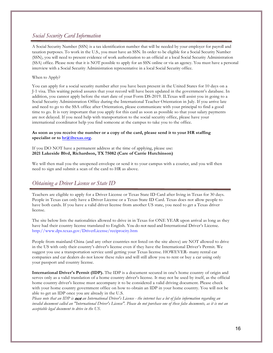### *Social Security Card Information*

A Social Security Number (SSN) is a tax identification number that will be needed by your employer for payroll and taxation purposes. To work in the U.S., you must have an SSN. In order to be eligible for a Social Security Number (SSN), you will need to present evidence of work authorization to an official at a local Social Security Administration (SSA) office. Please note that it is NOT possible to apply for an SSN online or via an agency. You must have a personal interview with a Social Security Administration representative in a local Social Security office.

### When to Apply?

You can apply for a social security number after you have been present in the United States for 10 days on a J-1 visa. This waiting period assures that your record will have been updated in the government's database. In addition, you cannot apply before the start date of your Form DS-2019. ILTexas will assist you in going to a Social Security Administration Office during the International Teacher Orientation in July. If you arrive late and need to go to the SSA office after Orientation, please communicate with your principal to find a good time to go. It is very important that you apply for this card as soon as possible so that your salary payments are not delayed. If you need help with transportation to the social security office, please have your international coordinator help you find someone at the campus to take you to the office.

### **As soon as you receive the number or a copy of the card, please send it to your HR staffing specialist or to [hr@iltexas.org.](mailto:hr@iltexas.org)**

### If you DO NOT have a permanent address at the time of applying, please use: **2021 Lakeside Blvd, Richardson, TX 75082 (Care of Carrie Hutchinson)**

We will then mail you the unopened envelope or send it to your campus with a courier, and you will then need to sign and submit a scan of the card to HR as above.

### *Obtaining a Driver License or State ID*

Teachers are eligible to apply for a Driver License or Texas State ID Card after living in Texas for 30 days. People in Texas can only have a Driver License or a Texas State ID Card. Texas does not allow people to have both cards. If you have a valid driver license from another US state, you need to get a Texas driver license.

The site below lists the nationalities allowed to drive in in Texas for ONE YEAR upon arrival as long as they have had their country license translated to English. You do not need and International Driver's License. <http://www.dps.texas.gov/DriverLicense/reciprocity.htm>

People from mainland China (and any other countries not listed on the site above) are NOT allowed to drive in the US with only their country's driver's license even if they have the International Driver's Permit. We suggest you use a transportation service until getting your Texas license. HOWEVER- many rental car companies and car dealers do not know these rules and will still allow you to rent or buy a car using only your passport and country license.

**International Driver's Permit (IDP).** The IDP is a document secured in one's home country of origin and serves only as a valid translation of a home country driver's license. It may not be used by itself, as the official home country driver's license must accompany it to be considered a valid driving document. Please check with your home country government office on how to obtain an IDP in your home country. You will not be able to get an IDP once you are already in the U.S.

*Please note that an IDP is* not *an International Driver's License - the internet has a lot of false information regarding an invalid document called an "International Driver's License". Please do not purchase one of these false documents, as it is not an acceptable legal document to drive in the US.*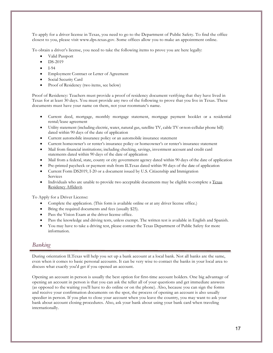To apply for a driver license in Texas, you need to go to the Department of Public Safety. To find the office closest to you, please visit [www.dps.texas.gov.](http://www.dps.texas.gov/) Some offices allow you to make an appointment online.

To obtain a driver's license, you need to take the following items to prove you are here legally:

- Valid Passport
- DS-2019
- I-94
- Employment Contract or Letter of Agreement
- Social Security Card
- Proof of Residency (two items, see below)

Proof of Residency: Teachers must provide a proof of residency document verifying that they have lived in Texas for at least 30 days. You must provide any two of the following to prove that you live in Texas. These documents must have your name on them, not your roommate's name.

- Current deed, mortgage, monthly mortgage statement, mortgage payment booklet or a residential rental/lease agreement
- Utility statement (including electric, water, natural gas, satellite TV, cable TV or non-cellular phone bill) dated within 90 days of the date of application
- Current automobile insurance policy or an automobile insurance statement
- Current homeowner's or renter's insurance policy or homeowner's or renter's insurance statement
- Mail from financial institutions; including checking, savings, investment account and credit card statements dated within 90 days of the date of application
- Mail from a federal, state, county or city government agency dated within 90 days of the date of application
- Pre-printed paycheck or payment stub from ILTexas dated within 90 days of the date of application
- Current Form DS2019, I-20 or a document issued by U.S. Citizenship and Immigration Services
- Individuals who are unable to provide two acceptable documents may be eligible to complete a Texas Residency Affidavit.

To Apply for a Driver License:

- Complete the application. (This form is available online or at any driver license office.)
- Bring the required documents and fees (usually \$25).
- Pass the Vision Exam at the driver license office.
- Pass the knowledge and driving tests, unless exempt. The written test is available in English and Spanish.
- You may have to take a driving test, please contact the Texas Department of Public Safety for more information.

### *Banking*

During orientation ILTexas will help you set up a bank account at a local bank. Not all banks are the same, even when it comes to basic personal accounts. It can be very wise to contact the banks in your local area to discuss what exactly you'd get if you opened an account.

Opening an account in person is usually the best option for first-time account holders. One big advantage of opening an account in person is that you can ask the teller all of your questions and get immediate answers (as opposed to the waiting you'll have to do online or on the phone). Also, because you can sign the forms and receive your confirmation documents on the spot, the process of opening an account is also usually speedier in person. If you plan to close your account when you leave the country, you may want to ask your bank about account closing procedures. Also, ask your bank about using your bank card when traveling internationally.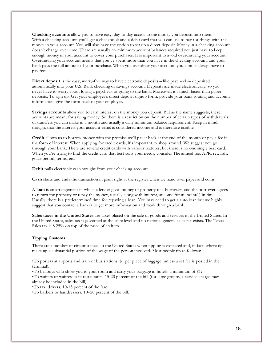**Checking accounts** allow you to have easy, day-to-day access to the money you deposit into them. With a checking account, you'll get a checkbook and a debit card that you can use to pay for things with the money in your account. You will also have the option to set up a direct deposit. Money in a checking account doesn't change over time. There are usually no minimum account balances required you just have to keep enough money in your account to cover your purchases. It is important to avoid overdrawing your account. Overdrawing your account means that you've spent more than you have in the checking account, and your bank pays the full amount of your purchase. When you overdraw your account, you almost always have to pay fees.

**Direct deposit** is the easy, worry-free way to have electronic deposits – like paychecks– deposited automatically into your U.S. Bank checking or savings account. Deposits are made electronically, so you never have to worry about losing a paycheck or going to the bank. Moreover, it's much faster than paper deposits. To sign up: Get your employer's direct deposit signup form, provide your bank routing and account information, give the form back to your employer.

Savings accounts allow you to earn interest on the money you deposit. But as the name suggests, these accounts are meant for saving money. So there is a restriction on the number of certain types of withdrawals or transfers you can make in a month and usually a daily minimum balance requirement. Keep in mind, though, that the interest your account earns is considered income and is therefore taxable.

**Credit** allows us to borrow money with the promise we'll pay it back at the end of the month or pay a fee in the form of interest. When applying for credit cards, it's important to shop around. We suggest you go through your bank. There are several credit cards with various features, but there is no one single best card. When you're trying to find the credit card that best suits your needs, consider The annual fee, APR, rewards, grace period, terms, etc.

**Debit** pulls electronic cash straight from your checking account.

**Cash** starts and ends the transaction in plain sight at the register when we hand over paper and coins

A **loan** is an arrangement in which a lender gives money or property to a borrower, and the borrower agrees to return the property or repay the money, usually along with interest, at some future point(s) in time. Usually, there is a predetermined time for repaying a loan. You may need to get a auto loan but we highly suggest that you contact a banker to get more information and work through a bank.

**Sales taxes in the United States** are taxes placed on the sale of goods and services in the United States. In the United States, sales tax is governed at the state level and no national general sales tax exists. The Texas Sales tax is 8.25% on top of the price of an item.

#### **Tipping Customs**

There are a number of circumstances in the United States when tipping is expected and, in fact, where tips make up a substantial portion of the wage of the person involved. Most people tip as follows:

•To porters at airports and train or bus stations, \$1 per piece of luggage (unless a set fee is posted in the terminal);

•To bellboys who show you to your room and carry your baggage in hotels, a minimum of \$1;

•To waiters or waitresses in restaurants, 15-20 percent of the bill (for large groups, a service charge may already be included in the bill);

•To taxi drivers, 10-15 percent of the fare;

•To barbers or hairdressers, 10–20 percent of the bill.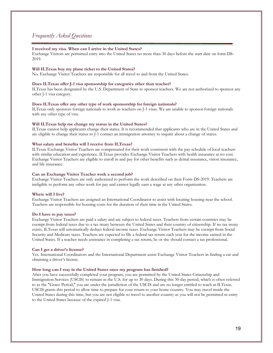### *Frequently Asked Questions*

#### **I received my visa. When can I arrive in the United States?**

Exchange Visitors are permitted entry into the United States no more than 30 days before the start date on form DS-2019.

#### **Will ILTexas buy my plane ticket to the United States?**

No. Exchange Visitor Teachers are responsible for all travel to and from the United States.

#### **Does ILTexas offer J-1 visa sponsorship for categories other than teacher?**

ILTexas has been designated by the U.S. Department of State to sponsor teachers. We are not authorized to sponsor any other J-1 visa category.

### **Does ILTexas offer any other type of work sponsorship for foreign nationals?**

ILTexas only sponsors foreign nationals to work as teachers on J-1 visas. We are unable to sponsor foreign nationals with any other type of visa.

#### **Will ILTexas help me change my status in the United States?**

ILTexas cannot help applicants change their status. It is recommended that applicants who are in the United States and are eligible to change their status to J-1 contact an immigration attorney to inquire about a change of status.

#### **What salary and benefits will I receive from ILTexas?**

ILTexas Exchange Visitor Teachers are compensated for their work consistent with the pay schedule of local teachers with similar education and experience. ILTexas provides Exchange Visitor Teachers with health insurance at no cost. Exchange Visitor Teachers are eligible to enroll in and pay for other benefits such as dental insurance, vision insurance, and life insurance.

#### **Can an Exchange Visitor Teacher work a second job?**

Exchange Visitor Teachers are only authorized to perform the work described on their Form DS-2019. Teachers are ineligible to perform any other work for pay and cannot legally earn a wage at any other organization.

#### **Where will I live?**

Exchange Visitor Teachers are assigned an International Coordinator to assist with locating housing near the school. Teachers are responsible for housing costs for the duration of their time in the United States.

#### **Do I have to pay taxes?**

Exchange Visitor Teachers are paid a salary and are subject to federal taxes. Teachers from certain countries may be exempt from federal taxes due to a tax treaty between the United States and their country of citizenship. If no tax treaty exists, ILTexas will automatically deduct federal income taxes. Exchange Visitor Teachers may be exempt from Social Security and Medicare taxes. Teachers are expected to file a federal tax return each year for the income earned in the United States. If a teacher needs assistance in completing a tax return, he or she should contact a tax professional.

#### **Can I get a driver's license?**

Yes. International Coordinators and the International Department assist Exchange Visitor Teachers in finding a car and obtaining a driver's license.

#### **How long can I stay in the United States once my program has finished?**

After you have successfully completed your program, you are permitted by the United States Citizenship and Immigration Services (USCIS) to remain in the U.S. for up to 30 days. During this 30-day period, which is often referred to as the "Grace Period," you are under the jurisdiction of the USCIS and are no longer entitled to teach at ILTexas. USCIS grants this period to allow time to prepare for your return to your home country. You may travel inside the United States during this time, but you are not eligible to travel to another country as you will not be permitted re-entry to the United States because of the expired J-1 visa.